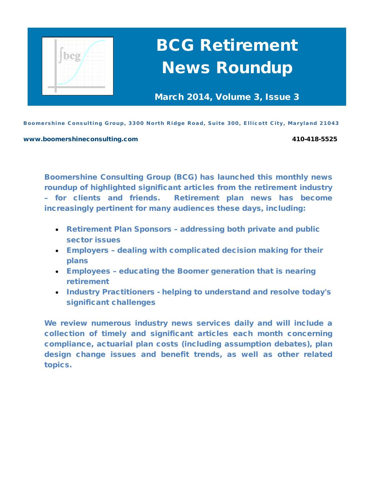

# BCG Retirement News Roundup

March 2014, Volume 3, Issue 3

Boomershine Consulting Group, 3300 North Ridge Road, Suite 300, Ellicott City, Maryland 21043

[www.boomershineconsulting.com](http://www.boomershineconsulting.com/) 410-418-5525

Boomershine Consulting Group (BCG) has launched this monthly news roundup of highlighted significant articles from the retirement industry – for clients and friends. Retirement plan news has become increasingly pertinent for many audiences these days, including:

- Retirement Plan Sponsors addressing both private and public sector issues
- Employers dealing with complicated decision making for their plans
- Employees educating the Boomer generation that is nearing retirement
- Industry Practitioners helping to understand and resolve today's significant challenges

We review numerous industry news services daily and will include a collection of timely and significant articles each month concerning compliance, actuarial plan costs (including assumption debates), plan design change issues and benefit trends, as well as other related topics.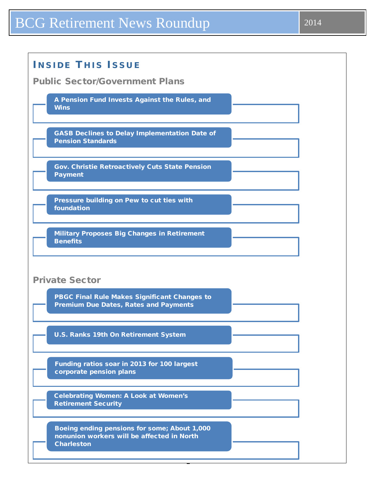| <b>INSIDE THIS ISSUE</b>                                                                                        |
|-----------------------------------------------------------------------------------------------------------------|
| <b>Public Sector/Government Plans</b>                                                                           |
| A Pension Fund Invests Against the Rules, and<br><b>Wins</b>                                                    |
| <b>GASB Declines to Delay Implementation Date of</b><br><b>Pension Standards</b>                                |
| <b>Gov. Christie Retroactively Cuts State Pension</b><br><b>Payment</b>                                         |
| Pressure building on Pew to cut ties with<br>foundation                                                         |
| <b>Military Proposes Big Changes in Retirement</b><br><b>Benefits</b>                                           |
| <b>Private Sector</b>                                                                                           |
| <b>PBGC Final Rule Makes Significant Changes to</b><br><b>Premium Due Dates, Rates and Payments</b>             |
| U.S. Ranks 19th On Retirement System                                                                            |
| Funding ratios soar in 2013 for 100 largest<br>corporate pension plans                                          |
| <b>Celebrating Women: A Look at Women's</b><br><b>Retirement Security</b>                                       |
| Boeing ending pensions for some; About 1,000<br>nonunion workers will be affected in North<br><b>Charleston</b> |
|                                                                                                                 |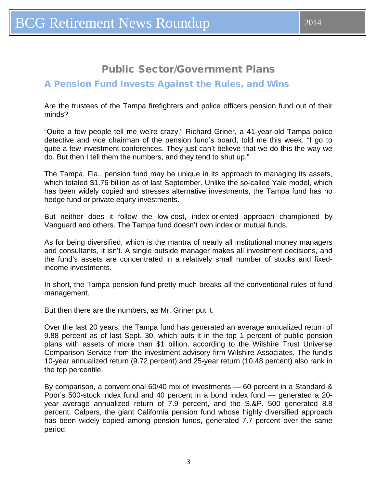# Public Sector/Government Plans

## <span id="page-2-0"></span>A Pension Fund Invests Against the Rules, and Wins

Are the trustees of the Tampa firefighters and police officers pension fund out of their minds?

"Quite a few people tell me we're crazy," Richard Griner, a 41-year-old Tampa police detective and vice chairman of the pension fund's board, told me this week. "I go to quite a few investment conferences. They just can't believe that we do this the way we do. But then I tell them the numbers, and they tend to shut up."

The Tampa, Fla., pension fund may be unique in its approach to managing its assets, which totaled \$1.76 billion as of last September. Unlike the so-called Yale model, which has been widely copied and stresses alternative investments, the Tampa fund has no hedge fund or private equity investments.

But neither does it follow the low-cost, index-oriented approach championed by Vanguard and others. The Tampa fund doesn't own index or mutual funds.

As for being diversified, which is the mantra of nearly all institutional money managers and consultants, it isn't. A single outside manager makes all investment decisions, and the fund's assets are concentrated in a relatively small number of stocks and fixedincome investments.

In short, the Tampa pension fund pretty much breaks all the conventional rules of fund management.

But then there are the numbers, as Mr. Griner put it.

Over the last 20 years, the Tampa fund has generated an average annualized return of 9.88 percent as of last Sept. 30, which puts it in the top 1 percent of public pension plans with assets of more than \$1 billion, according to the Wilshire Trust Universe Comparison Service from the investment advisory firm Wilshire Associates. The fund's 10-year annualized return (9.72 percent) and 25-year return (10.48 percent) also rank in the top percentile.

By comparison, a conventional 60/40 mix of investments — 60 percent in a Standard & Poor's 500-stock index fund and 40 percent in a bond index fund — generated a 20 year average annualized return of 7.9 percent, and the S.&P. 500 generated 8.8 percent. Calpers, the giant California pension fund whose highly diversified approach has been widely copied among pension funds, generated 7.7 percent over the same period.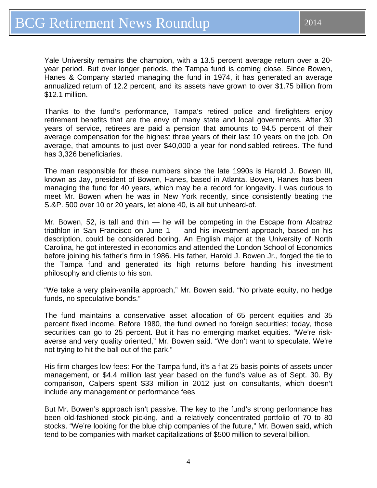Yale University remains the champion, with a 13.5 percent average return over a 20 year period. But over longer periods, the Tampa fund is coming close. Since Bowen, Hanes & Company started managing the fund in 1974, it has generated an average annualized return of 12.2 percent, and its assets have grown to over \$1.75 billion from \$12.1 million.

Thanks to the fund's performance, Tampa's retired police and firefighters enjoy retirement benefits that are the envy of many state and local governments. After 30 years of service, retirees are paid a pension that amounts to 94.5 percent of their average compensation for the highest three years of their last 10 years on the job. On average, that amounts to just over \$40,000 a year for nondisabled retirees. The fund has 3,326 beneficiaries.

The man responsible for these numbers since the late 1990s is Harold J. Bowen III, known as Jay, president of Bowen, Hanes, based in Atlanta. Bowen, Hanes has been managing the fund for 40 years, which may be a record for longevity. I was curious to meet Mr. Bowen when he was in New York recently, since consistently beating the S.&P. 500 over 10 or 20 years, let alone 40, is all but unheard-of.

Mr. Bowen, 52, is tall and thin — he will be competing in the Escape from Alcatraz triathlon in San Francisco on June  $1 -$  and his investment approach, based on his description, could be considered boring. An English major at the University of North Carolina, he got interested in economics and attended the London School of Economics before joining his father's firm in 1986. His father, Harold J. Bowen Jr., forged the tie to the Tampa fund and generated its high returns before handing his investment philosophy and clients to his son.

"We take a very plain-vanilla approach," Mr. Bowen said. "No private equity, no hedge funds, no speculative bonds."

The fund maintains a conservative asset allocation of 65 percent equities and 35 percent fixed income. Before 1980, the fund owned no foreign securities; today, those securities can go to 25 percent. But it has no emerging market equities. "We're riskaverse and very quality oriented," Mr. Bowen said. "We don't want to speculate. We're not trying to hit the ball out of the park."

His firm charges low fees: For the Tampa fund, it's a flat 25 basis points of assets under management, or \$4.4 million last year based on the fund's value as of Sept. 30. By comparison, Calpers spent \$33 million in 2012 just on consultants, which doesn't include any management or performance fees

But Mr. Bowen's approach isn't passive. The key to the fund's strong performance has been old-fashioned stock picking, and a relatively concentrated portfolio of 70 to 80 stocks. "We're looking for the blue chip companies of the future," Mr. Bowen said, which tend to be companies with market capitalizations of \$500 million to several billion.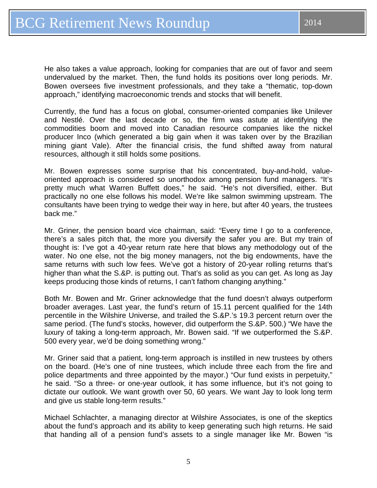He also takes a value approach, looking for companies that are out of favor and seem undervalued by the market. Then, the fund holds its positions over long periods. Mr. Bowen oversees five investment professionals, and they take a "thematic, top-down approach," identifying macroeconomic trends and stocks that will benefit.

Currently, the fund has a focus on global, consumer-oriented companies like Unilever and Nestlé. Over the last decade or so, the firm was astute at identifying the commodities boom and moved into Canadian resource companies like the nickel producer Inco (which generated a big gain when it was taken over by the Brazilian mining giant Vale). After the financial crisis, the fund shifted away from natural resources, although it still holds some positions.

Mr. Bowen expresses some surprise that his concentrated, buy-and-hold, valueoriented approach is considered so unorthodox among pension fund managers. "It's pretty much what Warren Buffett does," he said. "He's not diversified, either. But practically no one else follows his model. We're like salmon swimming upstream. The consultants have been trying to wedge their way in here, but after 40 years, the trustees back me."

Mr. Griner, the pension board vice chairman, said: "Every time I go to a conference, there's a sales pitch that, the more you diversify the safer you are. But my train of thought is: I've got a 40-year return rate here that blows any methodology out of the water. No one else, not the big money managers, not the big endowments, have the same returns with such low fees. We've got a history of 20-year rolling returns that's higher than what the S.&P. is putting out. That's as solid as you can get. As long as Jay keeps producing those kinds of returns, I can't fathom changing anything."

Both Mr. Bowen and Mr. Griner acknowledge that the fund doesn't always outperform broader averages. Last year, the fund's return of 15.11 percent qualified for the 14th percentile in the Wilshire Universe, and trailed the S.&P.'s 19.3 percent return over the same period. (The fund's stocks, however, did outperform the S.&P. 500.) "We have the luxury of taking a long-term approach, Mr. Bowen said. "If we outperformed the S.&P. 500 every year, we'd be doing something wrong."

Mr. Griner said that a patient, long-term approach is instilled in new trustees by others on the board. (He's one of nine trustees, which include three each from the fire and police departments and three appointed by the mayor.) "Our fund exists in perpetuity," he said. "So a three- or one-year outlook, it has some influence, but it's not going to dictate our outlook. We want growth over 50, 60 years. We want Jay to look long term and give us stable long-term results."

Michael Schlachter, a managing director at Wilshire Associates, is one of the skeptics about the fund's approach and its ability to keep generating such high returns. He said that handing all of a pension fund's assets to a single manager like Mr. Bowen "is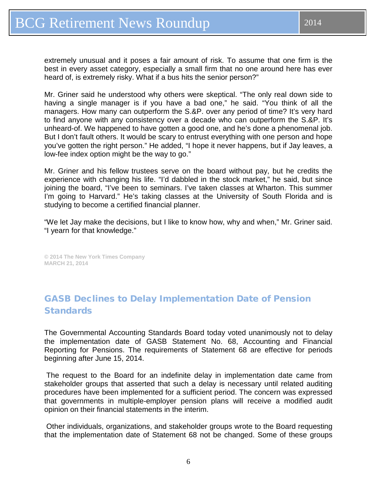<span id="page-5-0"></span>extremely unusual and it poses a fair amount of risk. To assume that one firm is the best in every asset category, especially a small firm that no one around here has ever heard of, is extremely risky. What if a bus hits the senior person?"

Mr. Griner said he understood why others were skeptical. "The only real down side to having a single manager is if you have a bad one," he said. "You think of all the managers. How many can outperform the S.&P. over any period of time? It's very hard to find anyone with any consistency over a decade who can outperform the S.&P. It's unheard-of. We happened to have gotten a good one, and he's done a phenomenal job. But I don't fault others. It would be scary to entrust everything with one person and hope you've gotten the right person." He added, "I hope it never happens, but if Jay leaves, a low-fee index option might be the way to go."

Mr. Griner and his fellow trustees serve on the board without pay, but he credits the experience with changing his life. "I'd dabbled in the stock market," he said, but since joining the board, "I've been to seminars. I've taken classes at Wharton. This summer I'm going to Harvard." He's taking classes at the University of South Florida and is studying to become a certified financial planner.

"We let Jay make the decisions, but I like to know how, why and when," Mr. Griner said. "I yearn for that knowledge."

**© 2014 The New York Times Company MARCH 21, 2014**

# GASB Declines to Delay Implementation Date of Pension **Standards**

The Governmental Accounting Standards Board today voted unanimously not to delay the implementation date of GASB Statement No. 68, Accounting and Financial Reporting for Pensions. The requirements of Statement 68 are effective for periods beginning after June 15, 2014.

The request to the Board for an indefinite delay in implementation date came from stakeholder groups that asserted that such a delay is necessary until related auditing procedures have been implemented for a sufficient period. The concern was expressed that governments in multiple-employer pension plans will receive a modified audit opinion on their financial statements in the interim.

Other individuals, organizations, and stakeholder groups wrote to the Board requesting that the implementation date of Statement 68 not be changed. Some of these groups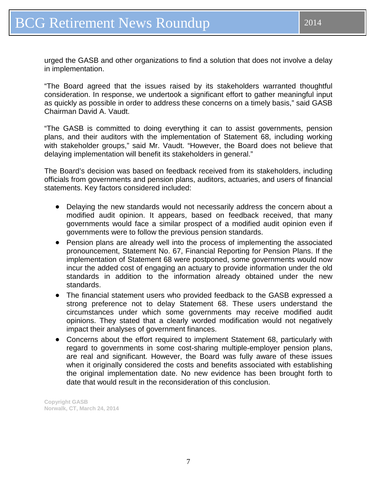"The Board agreed that the issues raised by its stakeholders warranted thoughtful consideration. In response, we undertook a significant effort to gather meaningful input as quickly as possible in order to address these concerns on a timely basis," said GASB Chairman David A. Vaudt.

"The GASB is committed to doing everything it can to assist governments, pension plans, and their auditors with the implementation of Statement 68, including working with stakeholder groups," said Mr. Vaudt. "However, the Board does not believe that delaying implementation will benefit its stakeholders in general."

The Board's decision was based on feedback received from its stakeholders, including officials from governments and pension plans, auditors, actuaries, and users of financial statements. Key factors considered included:

- Delaying the new standards would not necessarily address the concern about a modified audit opinion. It appears, based on feedback received, that many governments would face a similar prospect of a modified audit opinion even if governments were to follow the previous pension standards.
- Pension plans are already well into the process of implementing the associated pronouncement, Statement No. 67, Financial Reporting for Pension Plans. If the implementation of Statement 68 were postponed, some governments would now incur the added cost of engaging an actuary to provide information under the old standards in addition to the information already obtained under the new standards.
- The financial statement users who provided feedback to the GASB expressed a strong preference not to delay Statement 68. These users understand the circumstances under which some governments may receive modified audit opinions. They stated that a clearly worded modification would not negatively impact their analyses of government finances.
- Concerns about the effort required to implement Statement 68, particularly with regard to governments in some cost-sharing multiple-employer pension plans, are real and significant. However, the Board was fully aware of these issues when it originally considered the costs and benefits associated with establishing the original implementation date. No new evidence has been brought forth to date that would result in the reconsideration of this conclusion.

**Copyright GASB Norwalk, CT, March 24, 2014**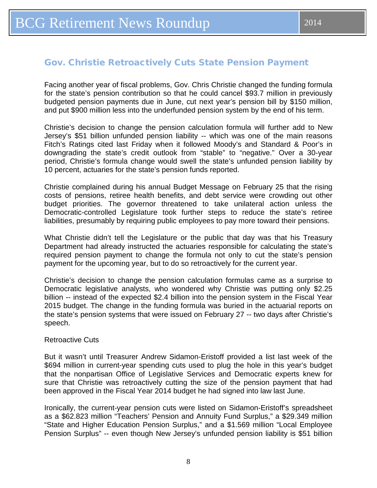<span id="page-7-0"></span>Facing another year of fiscal problems, Gov. Chris Christie changed the funding formula for the state's pension contribution so that he could cancel \$93.7 million in previously budgeted pension payments due in June, cut next year's pension bill by \$150 million, and put \$900 million less into the underfunded pension system by the end of his term.

Christie's decision to change the pension calculation formula will further add to New Jersey's \$51 billion unfunded pension liability -- which was one of the main reasons Fitch's Ratings cited last Friday when it followed Moody's and Standard & Poor's in downgrading the state's credit outlook from "stable" to "negative." Over a 30-year period, Christie's formula change would swell the state's unfunded pension liability by 10 percent, actuaries for the state's pension funds reported.

Christie complained during his annual Budget Message on February 25 that the rising costs of pensions, retiree health benefits, and debt service were crowding out other budget priorities. The governor threatened to take unilateral action unless the Democratic-controlled Legislature took further steps to reduce the state's retiree liabilities, presumably by requiring public employees to pay more toward their pensions.

What Christie didn't tell the Legislature or the public that day was that his Treasury Department had already instructed the actuaries responsible for calculating the state's required pension payment to change the formula not only to cut the state's pension payment for the upcoming year, but to do so retroactively for the current year.

Christie's decision to change the pension calculation formulas came as a surprise to Democratic legislative analysts, who wondered why Christie was putting only \$2.25 billion -- instead of the expected \$2.4 billion into the pension system in the Fiscal Year 2015 budget. The change in the funding formula was buried in the actuarial reports on the state's pension systems that were issued on February 27 -- two days after Christie's speech.

#### Retroactive Cuts

But it wasn't until Treasurer Andrew Sidamon-Eristoff provided a list last week of the \$694 million in current-year spending cuts used to plug the hole in this year's budget that the nonpartisan Office of Legislative Services and Democratic experts knew for sure that Christie was retroactively cutting the size of the pension payment that had been approved in the Fiscal Year 2014 budget he had signed into law last June.

Ironically, the current-year pension cuts were listed on Sidamon-Eristoff's spreadsheet as a \$62.823 million "Teachers' Pension and Annuity Fund Surplus," a \$29.349 million "State and Higher Education Pension Surplus," and a \$1.569 million "Local Employee Pension Surplus" -- even though New Jersey's unfunded pension liability is \$51 billion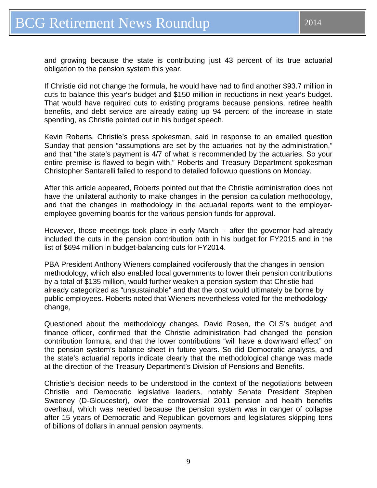and growing because the state is contributing just 43 percent of its true actuarial obligation to the pension system this year.

If Christie did not change the formula, he would have had to find another \$93.7 million in cuts to balance this year's budget and \$150 million in reductions in next year's budget. That would have required cuts to existing programs because pensions, retiree health benefits, and debt service are already eating up 94 percent of the increase in state spending, as Christie pointed out in his budget speech.

Kevin Roberts, Christie's press spokesman, said in response to an emailed question Sunday that pension "assumptions are set by the actuaries not by the administration," and that "the state's payment is 4/7 of what is recommended by the actuaries. So your entire premise is flawed to begin with." Roberts and Treasury Department spokesman Christopher Santarelli failed to respond to detailed followup questions on Monday.

After this article appeared, Roberts pointed out that the Christie administration does not have the unilateral authority to make changes in the pension calculation methodology, and that the changes in methodology in the actuarial reports went to the employeremployee governing boards for the various pension funds for approval.

However, those meetings took place in early March -- after the governor had already included the cuts in the pension contribution both in his budget for FY2015 and in the list of \$694 million in budget-balancing cuts for FY2014.

PBA President Anthony Wieners complained vociferously that the changes in pension methodology, which also enabled local governments to lower their pension contributions by a total of \$135 million, would further weaken a pension system that Christie had already categorized as "unsustainable" and that the cost would ultimately be borne by public employees. Roberts noted that Wieners nevertheless voted for the methodology change,

Questioned about the methodology changes, David Rosen, the OLS's budget and finance officer, confirmed that the Christie administration had changed the pension contribution formula, and that the lower contributions "will have a downward effect" on the pension system's balance sheet in future years. So did Democratic analysts, and the state's actuarial reports indicate clearly that the methodological change was made at the direction of the Treasury Department's Division of Pensions and Benefits.

Christie's decision needs to be understood in the context of the negotiations between Christie and Democratic legislative leaders, notably Senate President Stephen Sweeney (D-Gloucester), over the controversial 2011 pension and health benefits overhaul, which was needed because the pension system was in danger of collapse after 15 years of Democratic and Republican governors and legislatures skipping tens of billions of dollars in annual pension payments.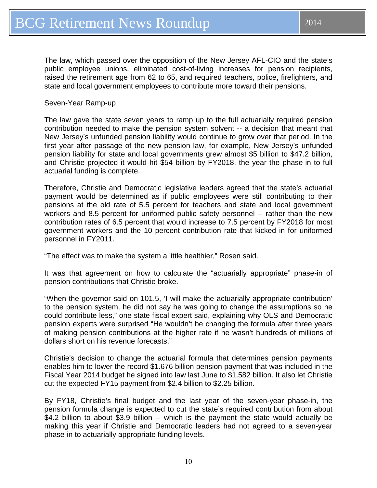The law, which passed over the opposition of the New Jersey AFL-CIO and the state's public employee unions, eliminated cost-of-living increases for pension recipients, raised the retirement age from 62 to 65, and required teachers, police, firefighters, and state and local government employees to contribute more toward their pensions.

Seven-Year Ramp-up

The law gave the state seven years to ramp up to the full actuarially required pension contribution needed to make the pension system solvent -- a decision that meant that New Jersey's unfunded pension liability would continue to grow over that period. In the first year after passage of the new pension law, for example, New Jersey's unfunded pension liability for state and local governments grew almost \$5 billion to \$47.2 billion, and Christie projected it would hit \$54 billion by FY2018, the year the phase-in to full actuarial funding is complete.

Therefore, Christie and Democratic legislative leaders agreed that the state's actuarial payment would be determined as if public employees were still contributing to their pensions at the old rate of 5.5 percent for teachers and state and local government workers and 8.5 percent for uniformed public safety personnel -- rather than the new contribution rates of 6.5 percent that would increase to 7.5 percent by FY2018 for most government workers and the 10 percent contribution rate that kicked in for uniformed personnel in FY2011.

"The effect was to make the system a little healthier," Rosen said.

It was that agreement on how to calculate the "actuarially appropriate" phase-in of pension contributions that Christie broke.

"When the [governor said on 101.5,](http://www.njspotlight.com/stories/14/02/04/governor-backs-off-pension-threat-dismisses-media-focus-on-bridgegate/) 'I will make the actuarially appropriate contribution' to the pension system, he did not say he was going to change the assumptions so he could contribute less," one state fiscal expert said, explaining why OLS and Democratic pension experts were surprised "He wouldn't be changing the formula after three years of making pension contributions at the higher rate if he wasn't hundreds of millions of dollars short on his revenue forecasts."

Christie's decision to change the actuarial formula that determines pension payments enables him to lower the record \$1.676 billion pension payment that was included in the Fiscal Year 2014 budget he signed into law last June to \$1.582 billion. It also let Christie cut the expected FY15 payment from \$2.4 billion to \$2.25 billion.

By FY18, Christie's final budget and the last year of the seven-year phase-in, the pension formula change is expected to cut the state's required contribution from about \$4.2 billion to about \$3.9 billion -- which is the payment the state would actually be making this year if Christie and Democratic leaders had not agreed to a seven-year phase-in to actuarially appropriate funding levels.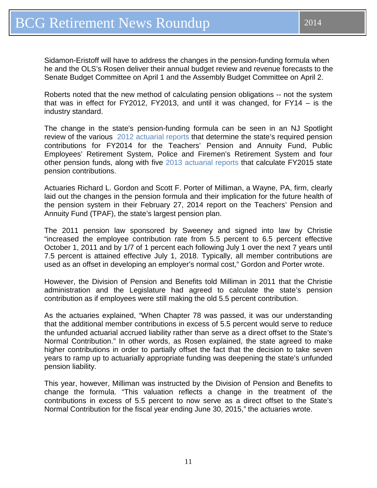Sidamon-Eristoff will have to address the changes in the pension-funding formula when he and the OLS's Rosen deliver their annual budget review and revenue forecasts to the Senate Budget Committee on April 1 and the Assembly Budget Committee on April 2.

Roberts noted that the new method of calculating pension obligations -- not the system that was in effect for FY2012, FY2013, and until it was changed, for FY14 – is the industry standard.

The change in the state's pension-funding formula can be seen in an NJ Spotlight review of the various [2012 actuarial reports](http://www.state.nj.us/treasury/pensions/actuarial-rpts-archive.shtml) that determine the state's required pension contributions for FY2014 for the Teachers' Pension and Annuity Fund, Public Employees' Retirement System, Police and Firemen's Retirement System and four other pension funds, along with five [2013 actuarial reports](http://www.state.nj.us/treasury/pensions/actuarial-rpts.shtml) that calculate FY2015 state pension contributions.

Actuaries Richard L. Gordon and Scott F. Porter of Milliman, a Wayne, PA, firm, clearly laid out the changes in the pension formula and their implication for the future health of the pension system in their February 27, 2014 report on the Teachers' Pension and Annuity Fund (TPAF), the state's largest pension plan.

The 2011 pension law sponsored by Sweeney and signed into law by Christie "increased the employee contribution rate from 5.5 percent to 6.5 percent effective October 1, 2011 and by 1/7 of 1 percent each following July 1 over the next 7 years until 7.5 percent is attained effective July 1, 2018. Typically, all member contributions are used as an offset in developing an employer's normal cost," Gordon and Porter wrote.

However, the Division of Pension and Benefits told Milliman in 2011 that the Christie administration and the Legislature had agreed to calculate the state's pension contribution as if employees were still making the old 5.5 percent contribution.

As the actuaries explained, "When Chapter 78 was passed, it was our understanding that the additional member contributions in excess of 5.5 percent would serve to reduce the unfunded actuarial accrued liability rather than serve as a direct offset to the State's Normal Contribution." In other words, as Rosen explained, the state agreed to make higher contributions in order to partially offset the fact that the decision to take seven years to ramp up to actuarially appropriate funding was deepening the state's unfunded pension liability.

This year, however, Milliman was instructed by the Division of Pension and Benefits to change the formula. "This valuation reflects a change in the treatment of the contributions in excess of 5.5 percent to now serve as a direct offset to the State's Normal Contribution for the fiscal year ending June 30, 2015," the actuaries wrote.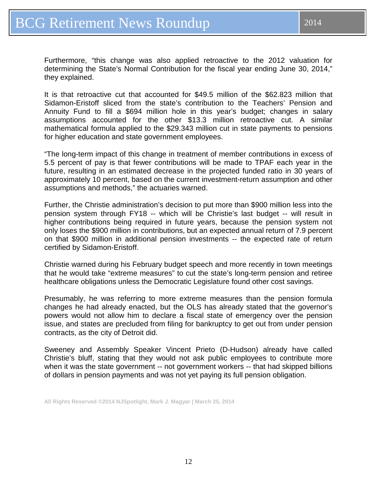Furthermore, "this change was also applied retroactive to the 2012 valuation for determining the State's Normal Contribution for the fiscal year ending June 30, 2014," they explained.

It is that retroactive cut that accounted for \$49.5 million of the \$62.823 million that Sidamon-Eristoff sliced from the state's contribution to the Teachers' Pension and Annuity Fund to fill a \$694 million hole in this year's budget; changes in salary assumptions accounted for the other \$13.3 million retroactive cut. A similar mathematical formula applied to the \$29.343 million cut in state payments to pensions for higher education and state government employees.

"The long-term impact of this change in treatment of member contributions in excess of 5.5 percent of pay is that fewer contributions will be made to TPAF each year in the future, resulting in an estimated decrease in the projected funded ratio in 30 years of approximately 10 percent, based on the current investment-return assumption and other assumptions and methods," the actuaries warned.

Further, the Christie administration's decision to put more than \$900 million less into the pension system through FY18 -- which will be Christie's last budget -- will result in higher contributions being required in future years, because the pension system not only loses the \$900 million in contributions, but an expected annual return of 7.9 percent on that \$900 million in additional pension investments -- the expected rate of return certified by Sidamon-Eristoff.

Christie warned during his February budget speech and more recently in town meetings that he would take "extreme measures" to cut the state's long-term pension and retiree healthcare obligations unless the Democratic Legislature found other cost savings.

Presumably, he was referring to more extreme measures than the pension formula changes he had already enacted, but the OLS has already stated that the governor's powers would not allow him to declare a fiscal state of emergency over the pension issue, and states are precluded from filing for bankruptcy to get out from under pension contracts, as the city of Detroit did.

Sweeney and Assembly Speaker Vincent Prieto (D-Hudson) already have called Christie's bluff, stating that they would not ask public employees to contribute more when it was the state government -- not government workers -- that had skipped billions of dollars in pension payments and was not yet paying its full pension obligation.

**All Rights Reserved ©2014 NJSpotlight, Mark J. Magyar | March 25, 2014**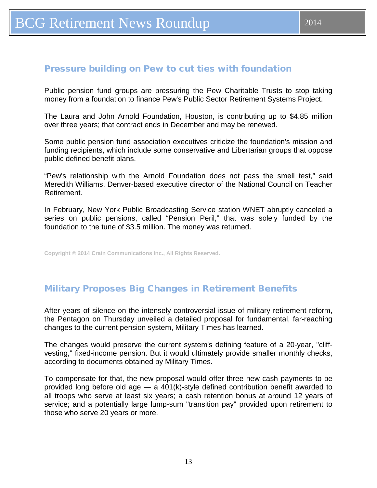### <span id="page-12-0"></span>Pressure building on Pew to cut ties with foundation

Public pension fund groups are pressuring the Pew Charitable Trusts to stop taking money from a foundation to finance Pew's Public Sector Retirement Systems Project.

The Laura and John Arnold Foundation, Houston, is contributing up to \$4.85 million over three years; that contract ends in December and may be renewed.

Some public pension fund association executives criticize the foundation's mission and funding recipients, which include some conservative and Libertarian groups that oppose public defined benefit plans.

"Pew's relationship with the Arnold Foundation does not pass the smell test," said Meredith Williams, Denver-based executive director of the National Council on Teacher Retirement.

In February, New York Public Broadcasting Service station WNET abruptly canceled a series on public pensions, called "Pension Peril," that was solely funded by the foundation to the tune of \$3.5 million. The money was returned.

**Copyright © 2014 Crain Communications Inc., All Rights Reserved.**

## Military Proposes Big Changes in Retirement Benefits

After years of silence on the intensely controversial issue of military retirement reform, the Pentagon on Thursday unveiled a detailed proposal for fundamental, far-reaching changes to the current pension system, Military Times has learned.

The changes would preserve the current system's defining feature of a 20-year, "cliffvesting," fixed-income pension. But it would ultimately provide smaller monthly checks, according to documents obtained by Military Times.

To compensate for that, the new proposal would offer three new cash payments to be provided long before old age — a 401(k)-style defined contribution benefit awarded to all troops who serve at least six years; a cash retention bonus at around 12 years of service; and a potentially large lump-sum "transition pay" provided upon retirement to those who serve 20 years or more.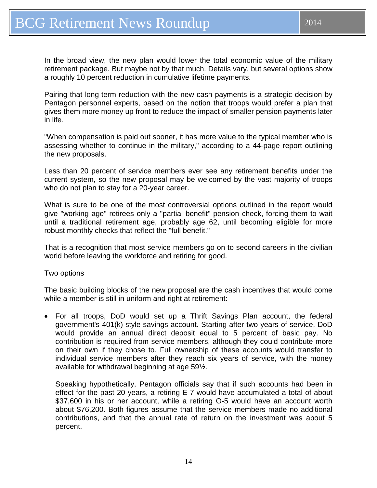In the broad view, the new plan would lower the total economic value of the military retirement package. But maybe not by that much. Details vary, but several options show a roughly 10 percent reduction in cumulative lifetime payments.

Pairing that long-term reduction with the new cash payments is a strategic decision by Pentagon personnel experts, based on the notion that troops would prefer a plan that gives them more money up front to reduce the impact of smaller pension payments later in life.

"When compensation is paid out sooner, it has more value to the typical member who is assessing whether to continue in the military," according to a 44-page report outlining the new proposals.

Less than 20 percent of service members ever see any retirement benefits under the current system, so the new proposal may be welcomed by the vast majority of troops who do not plan to stay for a 20-year career.

What is sure to be one of the most controversial options outlined in the report would give "working age" retirees only a "partial benefit" pension check, forcing them to wait until a traditional retirement age, probably age 62, until becoming eligible for more robust monthly checks that reflect the "full benefit."

That is a recognition that most service members go on to second careers in the civilian world before leaving the workforce and retiring for good.

Two options

The basic building blocks of the new proposal are the cash incentives that would come while a member is still in uniform and right at retirement:

• For all troops, DoD would set up a Thrift Savings Plan account, the federal government's 401(k)-style savings account. Starting after two years of service, DoD would provide an annual direct deposit equal to 5 percent of basic pay. No contribution is required from service members, although they could contribute more on their own if they chose to. Full ownership of these accounts would transfer to individual service members after they reach six years of service, with the money available for withdrawal beginning at age 59½.

Speaking hypothetically, Pentagon officials say that if such accounts had been in effect for the past 20 years, a retiring E-7 would have accumulated a total of about \$37,600 in his or her account, while a retiring O-5 would have an account worth about \$76,200. Both figures assume that the service members made no additional contributions, and that the annual rate of return on the investment was about 5 percent.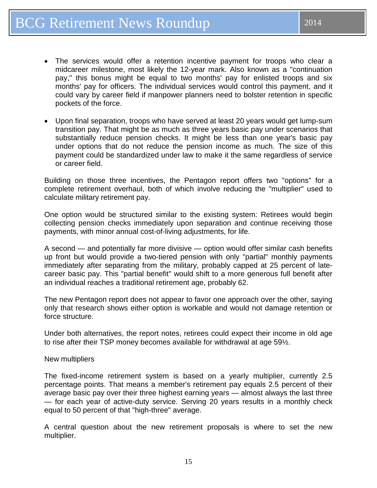- The services would offer a retention incentive payment for troops who clear a midcareer milestone, most likely the 12-year mark. Also known as a "continuation pay," this bonus might be equal to two months' pay for enlisted troops and six months' pay for officers. The individual services would control this payment, and it could vary by career field if manpower planners need to bolster retention in specific pockets of the force.
- Upon final separation, troops who have served at least 20 years would get lump-sum transition pay. That might be as much as three years basic pay under scenarios that substantially reduce pension checks. It might be less than one year's basic pay under options that do not reduce the pension income as much. The size of this payment could be standardized under law to make it the same regardless of service or career field.

Building on those three incentives, the Pentagon report offers two "options" for a complete retirement overhaul, both of which involve reducing the "multiplier" used to calculate military retirement pay.

One option would be structured similar to the existing system: Retirees would begin collecting pension checks immediately upon separation and continue receiving those payments, with minor annual cost-of-living adjustments, for life.

A second — and potentially far more divisive — option would offer similar cash benefits up front but would provide a two-tiered pension with only "partial" monthly payments immediately after separating from the military, probably capped at 25 percent of latecareer basic pay. This "partial benefit" would shift to a more generous full benefit after an individual reaches a traditional retirement age, probably 62.

The new Pentagon report does not appear to favor one approach over the other, saying only that research shows either option is workable and would not damage retention or force structure.

Under both alternatives, the report notes, retirees could expect their income in old age to rise after their TSP money becomes available for withdrawal at age 59½.

New multipliers

The fixed-income retirement system is based on a yearly multiplier, currently 2.5 percentage points. That means a member's retirement pay equals 2.5 percent of their average basic pay over their three highest earning years — almost always the last three — for each year of active-duty service. Serving 20 years results in a monthly check equal to 50 percent of that "high-three" average.

A central question about the new retirement proposals is where to set the new multiplier.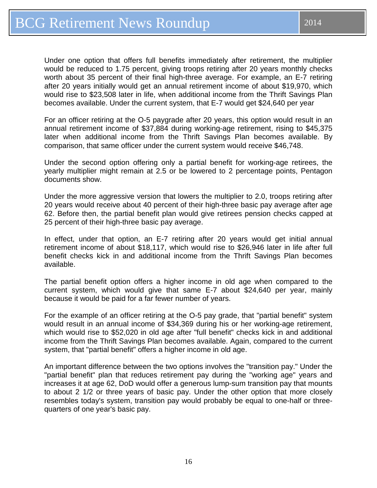Under one option that offers full benefits immediately after retirement, the multiplier would be reduced to 1.75 percent, giving troops retiring after 20 years monthly checks worth about 35 percent of their final high-three average. For example, an E-7 retiring after 20 years initially would get an annual retirement income of about \$19,970, which would rise to \$23,508 later in life, when additional income from the Thrift Savings Plan becomes available. Under the current system, that E-7 would get \$24,640 per year

For an officer retiring at the O-5 paygrade after 20 years, this option would result in an annual retirement income of \$37,884 during working-age retirement, rising to \$45,375 later when additional income from the Thrift Savings Plan becomes available. By comparison, that same officer under the current system would receive \$46,748.

Under the second option offering only a partial benefit for working-age retirees, the yearly multiplier might remain at 2.5 or be lowered to 2 percentage points, Pentagon documents show.

Under the more aggressive version that lowers the multiplier to 2.0, troops retiring after 20 years would receive about 40 percent of their high-three basic pay average after age 62. Before then, the partial benefit plan would give retirees pension checks capped at 25 percent of their high-three basic pay average.

In effect, under that option, an E-7 retiring after 20 years would get initial annual retirement income of about \$18,117, which would rise to \$26,946 later in life after full benefit checks kick in and additional income from the Thrift Savings Plan becomes available.

The partial benefit option offers a higher income in old age when compared to the current system, which would give that same E-7 about \$24,640 per year, mainly because it would be paid for a far fewer number of years.

For the example of an officer retiring at the O-5 pay grade, that "partial benefit" system would result in an annual income of \$34,369 during his or her working-age retirement, which would rise to \$52,020 in old age after "full benefit" checks kick in and additional income from the Thrift Savings Plan becomes available. Again, compared to the current system, that "partial benefit" offers a higher income in old age.

An important difference between the two options involves the "transition pay." Under the "partial benefit" plan that reduces retirement pay during the "working age" years and increases it at age 62, DoD would offer a generous lump-sum transition pay that mounts to about 2 1/2 or three years of basic pay. Under the other option that more closely resembles today's system, transition pay would probably be equal to one-half or threequarters of one year's basic pay.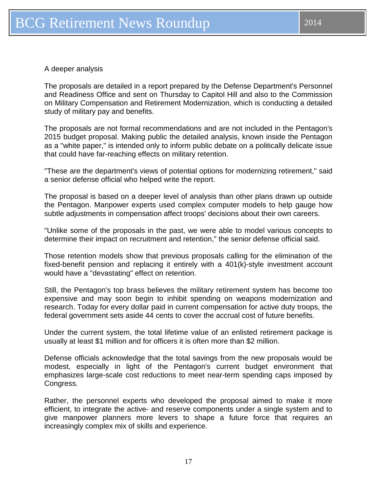#### A deeper analysis

The proposals are detailed in a report prepared by the Defense Department's Personnel and Readiness Office and sent on Thursday to Capitol Hill and also to the Commission on Military Compensation and Retirement Modernization, which is conducting a detailed study of military pay and benefits.

The proposals are not formal recommendations and are not included in the Pentagon's 2015 budget proposal. Making public the detailed analysis, known inside the Pentagon as a "white paper," is intended only to inform public debate on a politically delicate issue that could have far-reaching effects on military retention.

"These are the department's views of potential options for modernizing retirement," said a senior defense official who helped write the report.

The proposal is based on a deeper level of analysis than other plans drawn up outside the Pentagon. Manpower experts used complex computer models to help gauge how subtle adjustments in compensation affect troops' decisions about their own careers.

"Unlike some of the proposals in the past, we were able to model various concepts to determine their impact on recruitment and retention," the senior defense official said.

Those retention models show that previous proposals calling for the elimination of the fixed-benefit pension and replacing it entirely with a 401(k)-style investment account would have a "devastating" effect on retention.

Still, the Pentagon's top brass believes the military retirement system has become too expensive and may soon begin to inhibit spending on weapons modernization and research. Today for every dollar paid in current compensation for active duty troops, the federal government sets aside 44 cents to cover the accrual cost of future benefits.

Under the current system, the total lifetime value of an enlisted retirement package is usually at least \$1 million and for officers it is often more than \$2 million.

Defense officials acknowledge that the total savings from the new proposals would be modest, especially in light of the Pentagon's current budget environment that emphasizes large-scale cost reductions to meet near-term spending caps imposed by Congress.

Rather, the personnel experts who developed the proposal aimed to make it more efficient, to integrate the active- and reserve components under a single system and to give manpower planners more levers to shape a future force that requires an increasingly complex mix of skills and experience.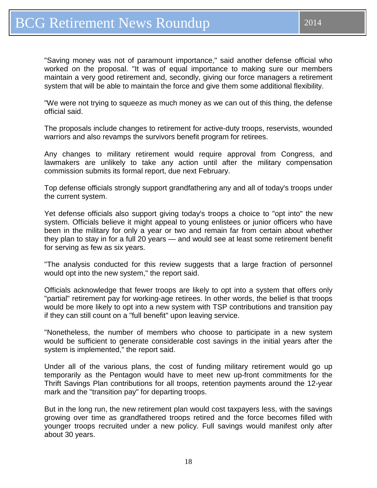"Saving money was not of paramount importance," said another defense official who worked on the proposal. "It was of equal importance to making sure our members maintain a very good retirement and, secondly, giving our force managers a retirement system that will be able to maintain the force and give them some additional flexibility.

"We were not trying to squeeze as much money as we can out of this thing, the defense official said.

The proposals include changes to retirement for active-duty troops, reservists, wounded warriors and also revamps the survivors benefit program for retirees.

Any changes to military retirement would require approval from Congress, and lawmakers are unlikely to take any action until after the military compensation commission submits its formal report, due next February.

Top defense officials strongly support grandfathering any and all of today's troops under the current system.

Yet defense officials also support giving today's troops a choice to "opt into" the new system. Officials believe it might appeal to young enlistees or junior officers who have been in the military for only a year or two and remain far from certain about whether they plan to stay in for a full 20 years — and would see at least some retirement benefit for serving as few as six years.

"The analysis conducted for this review suggests that a large fraction of personnel would opt into the new system," the report said.

Officials acknowledge that fewer troops are likely to opt into a system that offers only "partial" retirement pay for working-age retirees. In other words, the belief is that troops would be more likely to opt into a new system with TSP contributions and transition pay if they can still count on a "full benefit" upon leaving service.

"Nonetheless, the number of members who choose to participate in a new system would be sufficient to generate considerable cost savings in the initial years after the system is implemented," the report said.

Under all of the various plans, the cost of funding military retirement would go up temporarily as the Pentagon would have to meet new up-front commitments for the Thrift Savings Plan contributions for all troops, retention payments around the 12-year mark and the "transition pay" for departing troops.

But in the long run, the new retirement plan would cost taxpayers less, with the savings growing over time as grandfathered troops retired and the force becomes filled with younger troops recruited under a new policy. Full savings would manifest only after about 30 years.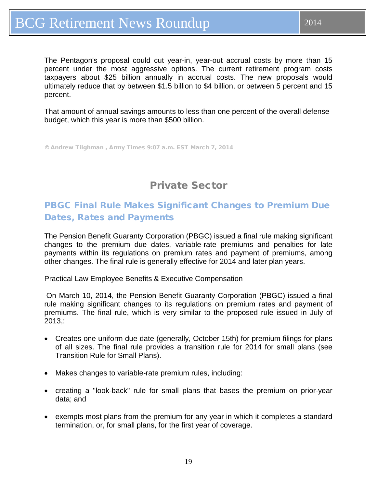<span id="page-18-0"></span>The Pentagon's proposal could cut year-in, year-out accrual costs by more than 15 percent under the most aggressive options. The current retirement program costs taxpayers about \$25 billion annually in accrual costs. The new proposals would ultimately reduce that by between \$1.5 billion to \$4 billion, or between 5 percent and 15 percent.

That amount of annual savings amounts to less than one percent of the overall defense budget, which this year is more than \$500 billion.

© Andrew Tilghman , Army Times 9:07 a.m. EST March 7, 2014

# Private Sector

## PBGC Final Rule Makes Significant Changes to Premium Due Dates, Rates and Payments

The Pension Benefit Guaranty Corporation (PBGC) issued a final rule making significant changes to the premium due dates, variable-rate premiums and penalties for late payments within its regulations on premium rates and payment of premiums, among other changes. The final rule is generally effective for 2014 and later plan years.

Practical Law Employee Benefits & Executive Compensation

On March 10, 2014, the Pension Benefit Guaranty Corporation (PBGC) issued a final rule making significant changes to its regulations on premium rates and payment of premiums. The final rule, which is very similar to the proposed rule issued in July of 2013,:

- Creates one uniform due date (generally, October 15th) for premium filings for plans of all sizes. The final rule provides a transition rule for 2014 for small plans (see Transition Rule for Small Plans).
- Makes changes to variable-rate premium rules, including:
- creating a "look-back" rule for small plans that bases the premium on prior-year data; and
- exempts most plans from the premium for any year in which it completes a standard termination, or, for small plans, for the first year of coverage.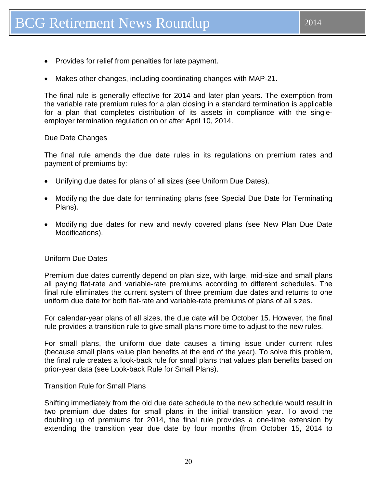• Makes other changes, including coordinating changes with MAP-21.

The final rule is generally effective for 2014 and later plan years. The exemption from the variable rate premium rules for a plan closing in a standard termination is applicable for a plan that completes distribution of its assets in compliance with the singleemployer termination regulation on or after April 10, 2014.

#### Due Date Changes

The final rule amends the due date rules in its regulations on premium rates and payment of premiums by:

- Unifying due dates for plans of all sizes (see Uniform Due Dates).
- Modifying the due date for terminating plans (see Special Due Date for Terminating Plans).
- Modifying due dates for new and newly covered plans (see New Plan Due Date Modifications).

#### Uniform Due Dates

Premium due dates currently depend on plan size, with large, mid-size and small plans all paying flat-rate and variable-rate premiums according to different schedules. The final rule eliminates the current system of three premium due dates and returns to one uniform due date for both flat-rate and variable-rate premiums of plans of all sizes.

For calendar-year plans of all sizes, the due date will be October 15. However, the final rule provides a transition rule to give small plans more time to adjust to the new rules.

For small plans, the uniform due date causes a timing issue under current rules (because small plans value plan benefits at the end of the year). To solve this problem, the final rule creates a look-back rule for small plans that values plan benefits based on prior-year data (see Look-back Rule for Small Plans).

#### Transition Rule for Small Plans

Shifting immediately from the old due date schedule to the new schedule would result in two premium due dates for small plans in the initial transition year. To avoid the doubling up of premiums for 2014, the final rule provides a one-time extension by extending the transition year due date by four months (from October 15, 2014 to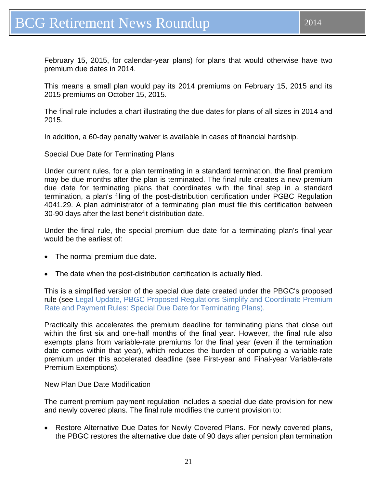February 15, 2015, for calendar-year plans) for plans that would otherwise have two premium due dates in 2014.

This means a small plan would pay its 2014 premiums on February 15, 2015 and its 2015 premiums on October 15, 2015.

The final rule includes a chart illustrating the due dates for plans of all sizes in 2014 and 2015.

In addition, a 60-day penalty waiver is available in cases of financial hardship.

Special Due Date for Terminating Plans

Under current rules, for a plan terminating in a standard termination, the final premium may be due months after the plan is terminated. The final rule creates a new premium due date for terminating plans that coordinates with the final step in a standard termination, a plan's filing of the post-distribution certification under PGBC Regulation 4041.29. A plan administrator of a terminating plan must file this certification between 30-90 days after the last benefit distribution date.

Under the final rule, the special premium due date for a terminating plan's final year would be the earliest of:

- The normal premium due date.
- The date when the post-distribution certification is actually filed.

This is a simplified version of the special due date created under the PBGC's proposed rule (see [Legal Update, PBGC Proposed Regulations Simplify and Coordinate Premium](http://us.practicallaw.com/7-560-2747)  [Rate and Payment Rules: Special Due Date for Terminating Plans\)](http://us.practicallaw.com/7-560-2747).

Practically this accelerates the premium deadline for terminating plans that close out within the first six and one-half months of the final year. However, the final rule also exempts plans from variable-rate premiums for the final year (even if the termination date comes within that year), which reduces the burden of computing a variable-rate premium under this accelerated deadline (see First-year and Final-year Variable-rate Premium Exemptions).

New Plan Due Date Modification

The current premium payment regulation includes a special due date provision for new and newly covered plans. The final rule modifies the current provision to:

• Restore Alternative Due Dates for Newly Covered Plans. For newly covered plans, the PBGC restores the alternative due date of 90 days after pension plan termination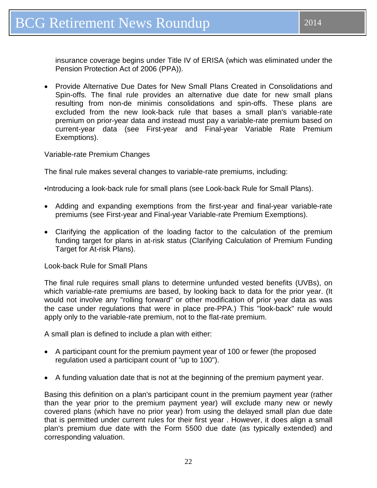• Provide Alternative Due Dates for New Small Plans Created in Consolidations and Spin-offs. The final rule provides an alternative due date for new small plans resulting from non-de minimis consolidations and spin-offs. These plans are excluded from the new look-back rule that bases a small plan's variable-rate premium on prior-year data and instead must pay a variable-rate premium based on current-year data (see First-year and Final-year Variable Rate Premium Exemptions).

#### Variable-rate Premium Changes

The final rule makes several changes to variable-rate premiums, including:

•Introducing a look-back rule for small plans (see Look-back Rule for Small Plans).

- Adding and expanding exemptions from the first-year and final-year variable-rate premiums (see First-year and Final-year Variable-rate Premium Exemptions).
- Clarifying the application of the loading factor to the calculation of the premium funding target for plans in at-risk status (Clarifying Calculation of Premium Funding Target for At-risk Plans).

#### Look-back Rule for Small Plans

The final rule requires small plans to determine unfunded vested benefits (UVBs), on which variable-rate premiums are based, by looking back to data for the prior year. (It would not involve any "rolling forward" or other modification of prior year data as was the case under regulations that were in place pre-PPA.) This "look-back" rule would apply only to the variable-rate premium, not to the flat-rate premium.

A small plan is defined to include a plan with either:

- A participant count for the premium payment year of 100 or fewer (the proposed regulation used a participant count of "up to 100").
- A funding valuation date that is not at the beginning of the premium payment year.

Basing this definition on a plan's participant count in the premium payment year (rather than the year prior to the premium payment year) will exclude many new or newly covered plans (which have no prior year) from using the delayed small plan due date that is permitted under current rules for their first year . However, it does align a small plan's premium due date with the Form 5500 due date (as typically extended) and corresponding valuation.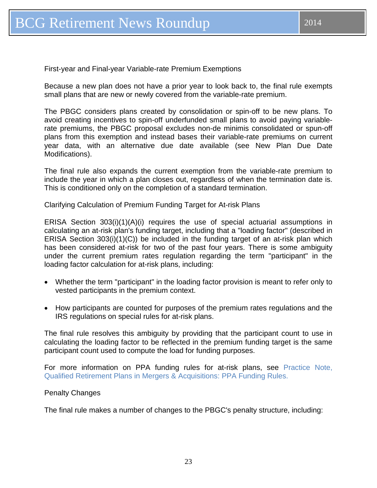First-year and Final-year Variable-rate Premium Exemptions

Because a new plan does not have a prior year to look back to, the final rule exempts small plans that are new or newly covered from the variable-rate premium.

The PBGC considers plans created by consolidation or spin-off to be new plans. To avoid creating incentives to spin-off underfunded small plans to avoid paying variablerate premiums, the PBGC proposal excludes non-de minimis consolidated or spun-off plans from this exemption and instead bases their variable-rate premiums on current year data, with an alternative due date available (see New Plan Due Date Modifications).

The final rule also expands the current exemption from the variable-rate premium to include the year in which a plan closes out, regardless of when the termination date is. This is conditioned only on the completion of a standard termination.

Clarifying Calculation of Premium Funding Target for At-risk Plans

ERISA Section  $303(i)(1)(A)(i)$  requires the use of special actuarial assumptions in calculating an at-risk plan's funding target, including that a "loading factor" (described in ERISA Section 303(i)(1)(C)) be included in the funding target of an at-risk plan which has been considered at-risk for two of the past four years. There is some ambiguity under the current premium rates regulation regarding the term "participant" in the loading factor calculation for at-risk plans, including:

- Whether the term "participant" in the loading factor provision is meant to refer only to vested participants in the premium context.
- How participants are counted for purposes of the premium rates regulations and the IRS regulations on special rules for at-risk plans.

The final rule resolves this ambiguity by providing that the participant count to use in calculating the loading factor to be reflected in the premium funding target is the same participant count used to compute the load for funding purposes.

For more information on PPA funding rules for at-risk plans, see [Practice Note,](http://us.practicallaw.com/1-521-1780#a987075)  [Qualified Retirement Plans in Mergers & Acquisitions: PPA Funding Rules.](http://us.practicallaw.com/1-521-1780#a987075)

#### Penalty Changes

The final rule makes a number of changes to the PBGC's penalty structure, including: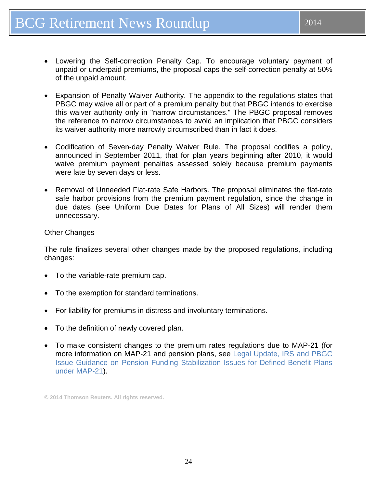- Lowering the Self-correction Penalty Cap. To encourage voluntary payment of unpaid or underpaid premiums, the proposal caps the self-correction penalty at 50% of the unpaid amount.
- Expansion of Penalty Waiver Authority. The appendix to the regulations states that PBGC may waive all or part of a premium penalty but that PBGC intends to exercise this waiver authority only in "narrow circumstances." The PBGC proposal removes the reference to narrow circumstances to avoid an implication that PBGC considers its waiver authority more narrowly circumscribed than in fact it does.
- Codification of Seven-day Penalty Waiver Rule. The proposal codifies a policy, announced in September 2011, that for plan years beginning after 2010, it would waive premium payment penalties assessed solely because premium payments were late by seven days or less.
- Removal of Unneeded Flat-rate Safe Harbors. The proposal eliminates the flat-rate safe harbor provisions from the premium payment regulation, since the change in due dates (see Uniform Due Dates for Plans of All Sizes) will render them unnecessary.

#### Other Changes

The rule finalizes several other changes made by the proposed regulations, including changes:

- To the variable-rate premium cap.
- To the exemption for standard terminations.
- For liability for premiums in distress and involuntary terminations.
- To the definition of newly covered plan.
- To make consistent changes to the premium rates regulations due to MAP-21 (for more information on MAP-21 and pension plans, see [Legal Update, IRS and PBGC](http://us.practicallaw.com/0-521-3478)  [Issue Guidance on Pension Funding Stabilization Issues for Defined Benefit Plans](http://us.practicallaw.com/0-521-3478)  [under MAP-21\)](http://us.practicallaw.com/0-521-3478).

**© 2014 Thomson Reuters. All rights reserved.**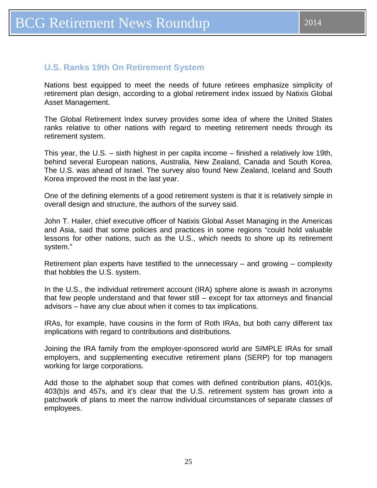## <span id="page-24-0"></span>**U.S. Ranks 19th On Retirement System**

Nations best equipped to meet the needs of future retirees emphasize simplicity of retirement plan design, according to a global retirement index issued by Natixis Global Asset Management.

The Global Retirement Index survey provides some idea of where the United States ranks relative to other nations with regard to meeting retirement needs through its retirement system.

This year, the U.S. – sixth highest in per capita income – finished a relatively low 19th, behind several European nations, Australia, New Zealand, Canada and South Korea. The U.S. was ahead of Israel. The survey also found New Zealand, Iceland and South Korea improved the most in the last year.

One of the defining elements of a good retirement system is that it is relatively simple in overall design and structure, the authors of the survey said.

John T. Hailer, chief executive officer of Natixis Global Asset Managing in the Americas and Asia, said that some policies and practices in some regions "could hold valuable lessons for other nations, such as the U.S., which needs to shore up its retirement system."

Retirement plan experts have testified to the unnecessary – and growing – complexity that hobbles the U.S. system.

In the U.S., the individual retirement account (IRA) sphere alone is awash in acronyms that few people understand and that fewer still – except for tax attorneys and financial advisors – have any clue about when it comes to tax implications.

IRAs, for example, have cousins in the form of Roth IRAs, but both carry different tax implications with regard to contributions and distributions.

Joining the IRA family from the employer-sponsored world are SIMPLE IRAs for small employers, and supplementing executive retirement plans (SERP) for top managers working for large corporations.

Add those to the alphabet soup that comes with defined contribution plans, 401(k)s, 403(b)s and 457s, and it's clear that the U.S. retirement system has grown into a patchwork of plans to meet the narrow individual circumstances of separate classes of employees.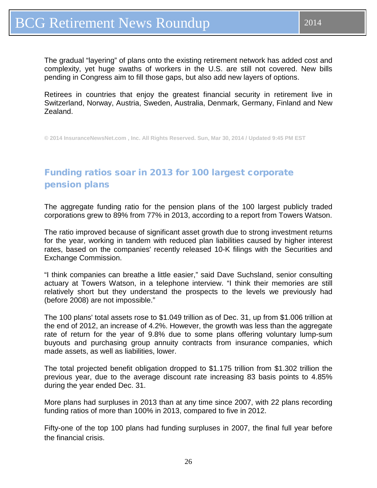<span id="page-25-0"></span>The gradual "layering" of plans onto the existing retirement network has added cost and complexity, yet huge swaths of workers in the U.S. are still not covered. New bills pending in Congress aim to fill those gaps, but also add new layers of options.

Retirees in countries that enjoy the greatest financial security in retirement live in Switzerland, Norway, Austria, Sweden, Australia, Denmark, Germany, Finland and New Zealand.

**© 2014 InsuranceNewsNet.com , Inc. All Rights Reserved. Sun, Mar 30, 2014 / Updated 9:45 PM EST**

# Funding ratios soar in 2013 for 100 largest corporate pension plans

The aggregate funding ratio for the pension plans of the 100 largest publicly traded corporations grew to 89% from 77% in 2013, according to a report from Towers Watson.

The ratio improved because of significant asset growth due to strong investment returns for the year, working in tandem with reduced plan liabilities caused by higher interest rates, based on the companies' recently released 10-K filings with the Securities and Exchange Commission.

"I think companies can breathe a little easier," said Dave Suchsland, senior consulting actuary at Towers Watson, in a telephone interview. "I think their memories are still relatively short but they understand the prospects to the levels we previously had (before 2008) are not impossible."

The 100 plans' total assets rose to \$1.049 trillion as of Dec. 31, up from \$1.006 trillion at the end of 2012, an increase of 4.2%. However, the growth was less than the aggregate rate of return for the year of 9.8% due to some plans offering voluntary lump-sum buyouts and purchasing group annuity contracts from insurance companies, which made assets, as well as liabilities, lower.

The total projected benefit obligation dropped to \$1.175 trillion from \$1.302 trillion the previous year, due to the average discount rate increasing 83 basis points to 4.85% during the year ended Dec. 31.

More plans had surpluses in 2013 than at any time since 2007, with 22 plans recording funding ratios of more than 100% in 2013, compared to five in 2012.

Fifty-one of the top 100 plans had funding surpluses in 2007, the final full year before the financial crisis.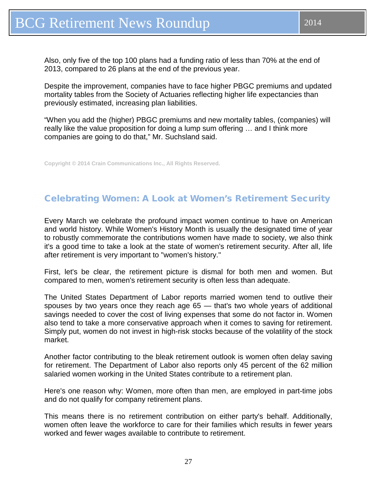<span id="page-26-0"></span>Also, only five of the top 100 plans had a funding ratio of less than 70% at the end of 2013, compared to 26 plans at the end of the previous year.

Despite the improvement, companies have to face higher PBGC premiums and updated mortality tables from the Society of Actuaries reflecting higher life expectancies than previously estimated, increasing plan liabilities.

"When you add the (higher) PBGC premiums and new mortality tables, (companies) will really like the value proposition for doing a lump sum offering … and I think more companies are going to do that," Mr. Suchsland said.

**Copyright © 2014 Crain Communications Inc., All Rights Reserved.**

## Celebrating Women: A Look at Women's Retirement Security

Every March we celebrate the profound impact women continue to have on American and world history. While Women's History Month is usually the designated time of year to robustly commemorate the contributions women have made to society, we also think it's a good time to take a look at the state of women's retirement security. After all, life after retirement is very important to "women's history."

First, let's be clear, the retirement picture is dismal for both men and women. But compared to men, women's retirement security is often less than adequate.

The United States Department of Labor reports married women tend to outlive their spouses by two years once they reach age 65 — that's two whole years of additional savings needed to cover the cost of living expenses that some do not factor in. Women also tend to take a more conservative approach when it comes to saving for retirement. Simply put, women do not invest in high-risk stocks because of the volatility of the stock market.

Another factor contributing to the bleak retirement outlook is women often delay saving for retirement. The Department of Labor also reports only 45 percent of the 62 million salaried women working in the United States contribute to a retirement plan.

Here's one reason why: Women, more often than men, are employed in part-time jobs and do not qualify for company retirement plans.

This means there is no retirement contribution on either party's behalf. Additionally, women often leave the workforce to care for their families which results in fewer years worked and fewer wages available to contribute to retirement.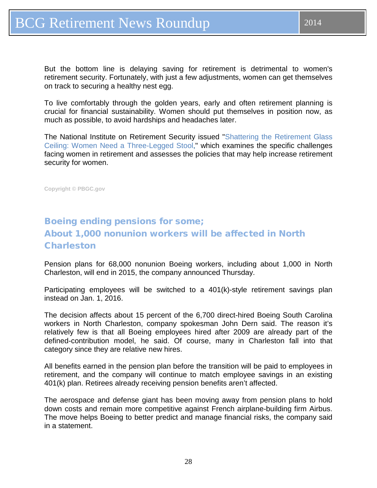<span id="page-27-0"></span>But the bottom line is delaying saving for retirement is detrimental to women's retirement security. Fortunately, with just a few adjustments, women can get themselves on track to securing a healthy nest egg.

To live comfortably through the golden years, early and often retirement planning is crucial for financial sustainability. Women should put themselves in position now, as much as possible, to avoid hardships and headaches later.

The National Institute on Retirement Security issued ["Shattering the Retirement Glass](http://www.nirsonline.org/research/index.php?option=com_content&task=view&id=252&Itemid=49)  [Ceiling: Women Need a Three-Legged Stool,"](http://www.nirsonline.org/research/index.php?option=com_content&task=view&id=252&Itemid=49) which examines the specific challenges facing women in retirement and assesses the policies that may help increase retirement security for women.

**Copyright © PBGC.gov**

# Boeing ending pensions for some; About 1,000 nonunion workers will be affected in North Charleston

Pension plans for 68,000 nonunion Boeing workers, including about 1,000 in North Charleston, will end in 2015, the company announced Thursday.

Participating employees will be switched to a 401(k)-style retirement savings plan instead on Jan. 1, 2016.

The decision affects about 15 percent of the 6,700 direct-hired Boeing South Carolina workers in North Charleston, company spokesman John Dern said. The reason it's relatively few is that all Boeing employees hired after 2009 are already part of the defined-contribution model, he said. Of course, many in Charleston fall into that category since they are relative new hires.

All benefits earned in the pension plan before the transition will be paid to employees in retirement, and the company will continue to match employee savings in an existing 401(k) plan. Retirees already receiving pension benefits aren't affected.

The aerospace and defense giant has been moving away from pension plans to hold down costs and remain more competitive against French airplane-building firm Airbus. The move helps Boeing to better predict and manage financial risks, the company said in a statement.